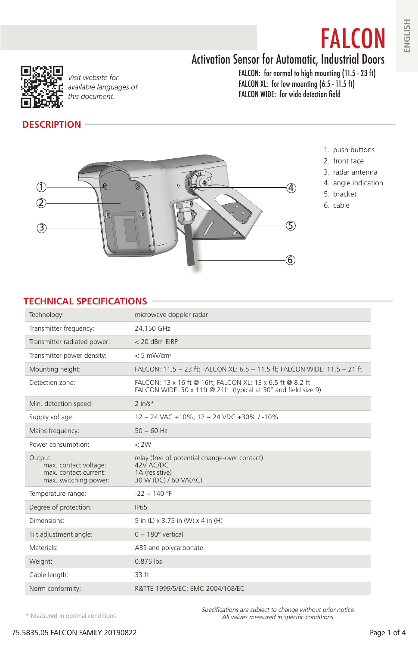# Activation Sensor for Automatic, Industrial Doors



*Visit website for available languages of this document.*

FALCON: for normal to high mounting (11.5 - 23 ft) FALCON XL: for low mounting (6.5 - 11.5 ft) FALCON WIDE: for wide detection field

#### **DESCRIPTION**

1. push buttons

FALCON

- 2. front face
- 3. radar antenna
- 4. angle indication
- 5. bracket
- 6. cable



#### **TECHNICAL SPECIFICATIONS**

| Technology:                                                             | microwave doppler radar                                                                                                        |
|-------------------------------------------------------------------------|--------------------------------------------------------------------------------------------------------------------------------|
| Transmitter frequency:                                                  | 24.150 GHz                                                                                                                     |
| Transmitter radiated power:                                             | $<$ 20 dBm FIRP                                                                                                                |
| Transmitter power density:                                              | $< 5$ mW/cm <sup>2</sup>                                                                                                       |
| Mounting height:                                                        | FALCON: 11.5 - 23 ft: FALCON XL: 6.5 - 11.5 ft: FALCON WIDE: 11.5 - 21 ft                                                      |
| Detection zone:                                                         | FALCON: 13 x 16 ft @ 16ft: FALCON XL: 13 x 6.5 ft @ 8.2 ft<br>FALCON WIDE: 30 x 11ft @ 21ft. (typical at 30° and field size 9) |
| Min. detection speed:                                                   | $2$ in/s*                                                                                                                      |
| Supply voltage:                                                         | 12 - 24 VAC ±10%; 12 - 24 VDC +30% / -10%                                                                                      |
| Mains frequency:                                                        | $50 - 60$ Hz                                                                                                                   |
| Power consumption:                                                      | $<$ 2W                                                                                                                         |
| Output:                                                                 | relay (free of potential change-over contact)                                                                                  |
| max. contact voltage:<br>max. contact current:<br>max. switching power: | 42V AC/DC<br>1A (resistive)<br>30 W (DC) / 60 VA(AC)                                                                           |
| Temperature range:                                                      | $-22 - 140$ °F                                                                                                                 |
| Degree of protection:                                                   | <b>IP65</b>                                                                                                                    |
| Dimensions:                                                             | 5 in (L) x 3.75 in (W) x 4 in (H)                                                                                              |
| Tilt adjustment angle:                                                  | $0 - 180^\circ$ vertical                                                                                                       |
| Materials:                                                              | ABS and polycarbonate                                                                                                          |
| Weight:                                                                 | $0.875$ lbs                                                                                                                    |
| Cable length:                                                           | 33 ft                                                                                                                          |
| Norm conformity:                                                        | R&TTE 1999/5/EC; EMC 2004/108/EC                                                                                               |

\* Measured in optimal conditions

*Specifications are subject to change without prior notice. All values measured in specific conditions.*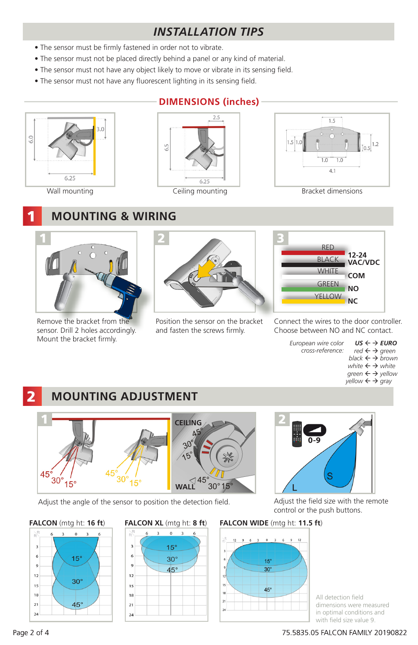# *INSTALLATION TIPS*

- The sensor must be firmly fastened in order not to vibrate.
- The sensor must not be placed directly behind a panel or any kind of material.
- The sensor must not have any object likely to move or vibrate in its sensing field.
- The sensor must not have any fluorescent lighting in its sensing field.



1

## **DIMENSIONS (inches)**





## **MOUNTING & WIRING**



Remove the bracket from the sensor. Drill 2 holes accordingly. Mount the bracket firmly.



Position the sensor on the bracket and fasten the screws firmly.



Connect the wires to the door controller. Choose between NO and NC contact.

> *US ← → EURO red*  ← *→ green black brown white ← → white green ← → yellow yellow ← → gray European wire color cross-reference:*

#### 2 **MOUNTING ADJUSTMENT**



Adjust the angle of the sensor to position the detection field. Adjust the field size with the remote







control or the push buttons.

#### **FALCON** (mtg ht: **16 ft**) **FALCON XL** (mtg ht: **8 ft**) **FALCON WIDE** (mtg ht: **11.5 ft**)



All detection field dimensions were measured in optimal conditions and with field size value 9.

#### Page 2 of 4 75.5835.05 FALCON FAMILY 20190822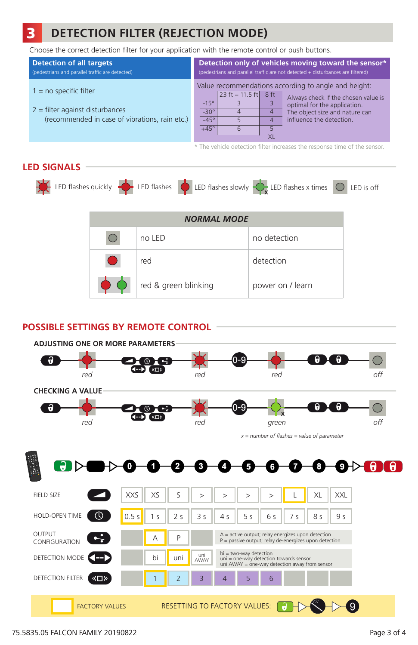#### 3 **DETECTION FILTER (REJECTION MODE)**

Choose the correct detection filter for your application with the remote control or push buttons.

| <b>Detection of all targets</b>                                                                                 | Detection only of vehicles moving toward the sensor*                                                                                                                                                                                                                                                                   |  |  |  |
|-----------------------------------------------------------------------------------------------------------------|------------------------------------------------------------------------------------------------------------------------------------------------------------------------------------------------------------------------------------------------------------------------------------------------------------------------|--|--|--|
| (pedestrians and parallel traffic are detected)                                                                 | (pedestrians and parallel traffic are not detected + disturbances are filtered)                                                                                                                                                                                                                                        |  |  |  |
| $1 = no$ specific filter<br>$2$ = filter against disturbances<br>(recommended in case of vibrations, rain etc.) | Value recommendations according to angle and height:<br>$ 23 \text{ ft} - 11.5 \text{ ft} $ 8 ft<br>Always check if the chosen value is<br>$-15^\circ$<br>optimal for the application.<br>$-30^\circ$<br>The object size and nature can<br>4<br>influence the detection.<br>$-45^\circ$<br>4<br>$+45^\circ$<br>6<br>XI |  |  |  |

\* The vehicle detection filter increases the response time of the sensor.

#### **LED SIGNALS**



| <b>NORMAL MODE</b> |                      |                  |  |  |  |  |  |  |
|--------------------|----------------------|------------------|--|--|--|--|--|--|
|                    | no LED               | no detection     |  |  |  |  |  |  |
|                    | red                  | detection        |  |  |  |  |  |  |
|                    | red & green blinking | power on / learn |  |  |  |  |  |  |

## **POSSIBLE SETTINGS BY REMOTE CONTROL**